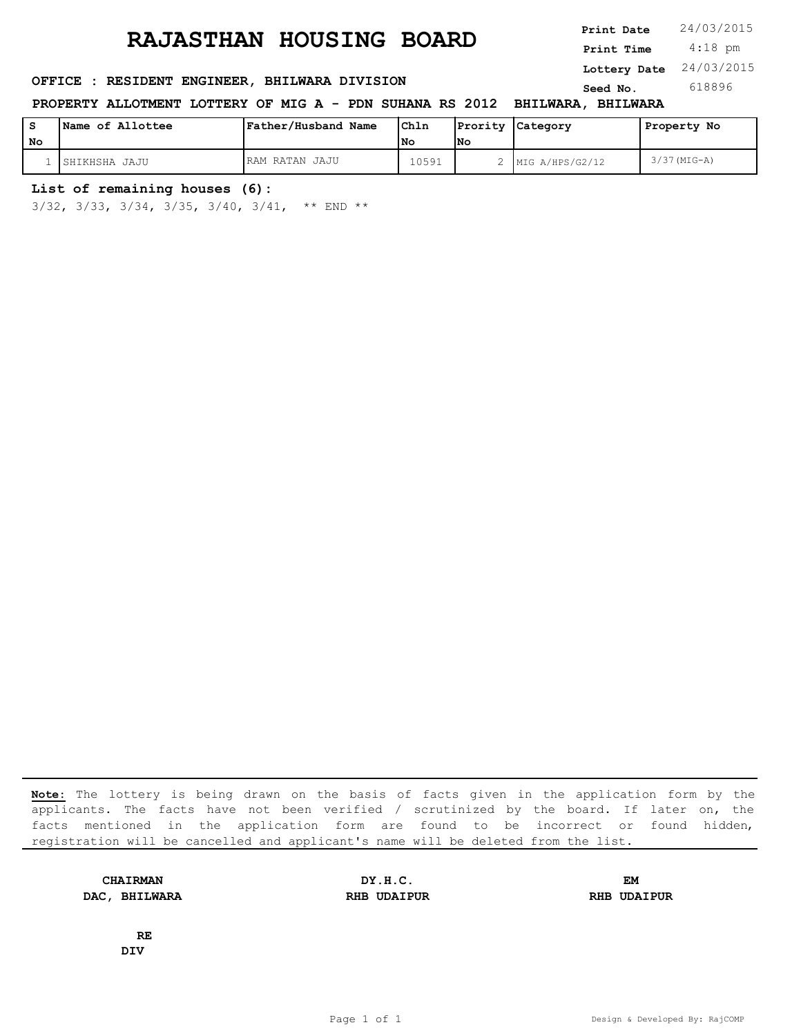**SERICE : RESIDENT ENGINEER, BHILWARA DIVISION Seed No.** 618896

**PROPERTY ALLOTMENT LOTTERY OF MIG A - PDN SUHANA RS 2012 BHILWARA, BHILWARA**

|    | Name of Allottee | Father/Husband Name | Chln  |     | Prority Category    | Property No    |
|----|------------------|---------------------|-------|-----|---------------------|----------------|
| No |                  |                     | l No  | lNo |                     |                |
|    | ISHIKHSHA JAJU   | RAM RATAN JAJU      | 10591 |     | 2   MIG A/HPS/G2/12 | $3/37$ (MIG-A) |

#### **List of remaining houses (6):**

3/32, 3/33, 3/34, 3/35, 3/40, 3/41, \*\* END \*\*

**Note:** The lottery is being drawn on the basis of facts given in the application form by the applicants. The facts have not been verified / scrutinized by the board. If later on, the facts mentioned in the application form are found to be incorrect or found hidden, registration will be cancelled and applicant's name will be deleted from the list.

**DAC, BHILWARA RHB UDAIPUR RHB UDAIPUR**

**CHAIRMAN DY.H.C. EM**

**RE DIV**

 4:18 pm **Print Date**  $24/03/2015$ **Print Time Lottery Date** 24/03/2015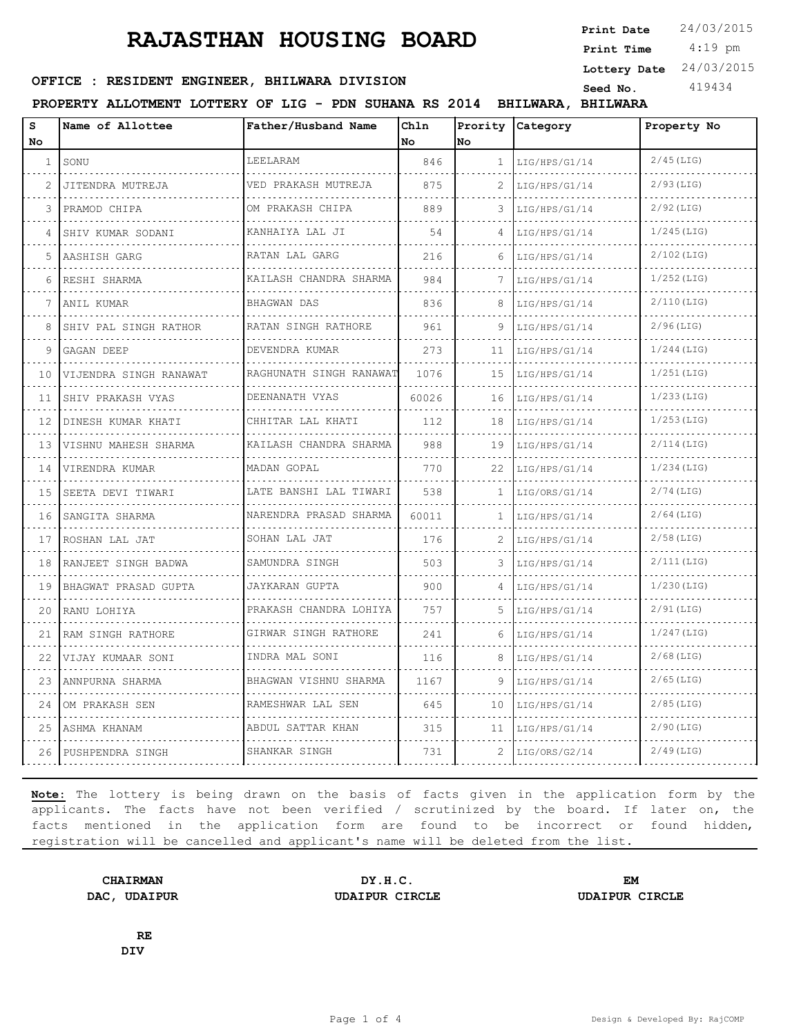4:19 pm **Print Date**  $24/03/2015$ **Print Time Lottery Date** 24/03/2015

## **SEED OFFICE : RESIDENT ENGINEER, BHILWARA DIVISION Seed No.** 419434

**PROPERTY ALLOTMENT LOTTERY OF LIG - PDN SUHANA RS 2014 BHILWARA, BHILWARA**

| S<br>No        | Name of Allottee       | Father/Husband Name                | Chln<br>l No | No.           | Prority Category | Property No   |
|----------------|------------------------|------------------------------------|--------------|---------------|------------------|---------------|
| $\mathbf{1}$   | SONU                   | <b>LEELARAM</b>                    | 846          | $\mathbf{1}$  | LIG/HPS/G1/14    | $2/45$ (LIG)  |
| $\mathfrak{D}$ | JITENDRA MUTREJA       | VED PRAKASH MUTREJA                | 875          |               | LIG/HPS/G1/14    | $2/93$ (LIG)  |
| 3              | PRAMOD CHIPA           | OM PRAKASH CHIPA                   | 889          | 3             | LIG/HPS/G1/14    | $2/92$ (LIG)  |
| 4              | SHIV KUMAR SODANI      | .<br>KANHAIYA LAL JI               | 54           | 4             | LIG/HPS/G1/14    | $1/245$ (LIG) |
| 5              | AASHISH GARG           | RATAN LAL GARG                     | 216          | 6             | LIG/HPS/G1/14    | $2/102$ (LIG) |
| 6              | RESHI SHARMA           | KAILASH CHANDRA SHARMA             | 984          | 7             | LIG/HPS/G1/14    | $1/252$ (LIG) |
| 7              | ANIL KUMAR             | BHAGWAN DAS                        | 836          | 8             | LIG/HPS/G1/14    | $2/110$ (LIG) |
| 8              | SHIV PAL SINGH RATHOR  | .<br>RATAN SINGH RATHORE<br>.      | 961          |               | LIG/HPS/G1/14    | $2/96$ (LIG)  |
| 9              | GAGAN DEEP             | DEVENDRA KUMAR                     | 273          | 11            | LIG/HPS/G1/14    | $1/244$ (LIG) |
| 10             | VIJENDRA SINGH RANAWAT | RAGHUNATH SINGH RANAWAT            | 1076         | 15            | LIG/HPS/G1/14    | $1/251$ (LIG) |
| 11             | SHIV PRAKASH VYAS<br>. | DEENANATH VYAS<br>.                | 60026        | 16            | LIG/HPS/G1/14    | $1/233$ (LIG) |
| 12             | DINESH KUMAR KHATI     | CHHITAR LAL KHATI                  | 112          | 18            | LIG/HPS/G1/14    | $1/253$ (LIG) |
| 13             | VISHNU MAHESH SHARMA   | KAILASH CHANDRA SHARMA             | 988          | 19            | LIG/HPS/G1/14    | $2/114$ (LIG) |
| 14             | VIRENDRA KUMAR         | MADAN GOPAL                        | 770          | 22            | LIG/HPS/G1/14    | $1/234$ (LIG) |
| 15             | SEETA DEVI TIWARI      | LATE BANSHI LAL TIWARI             | 538          | $\mathbf{1}$  | LIG/ORS/G1/14    | $2/74$ (LIG)  |
| 16             | SANGITA SHARMA<br>.    | NARENDRA PRASAD SHARMA             | 60011        | 1.            | LIG/HPS/G1/14    | $2/64$ (LIG)  |
| 17             | ROSHAN LAL JAT         | SOHAN LAL JAT                      | 176          | $\mathcal{L}$ | LIG/HPS/G1/14    | $2/58$ (LIG)  |
| 18             | RANJEET SINGH BADWA    | SAMUNDRA SINGH                     | 503          | 3             | LIG/HPS/G1/14    | $2/111$ (LIG) |
| 19             | BHAGWAT PRASAD GUPTA   | JAYKARAN GUPTA                     | 900          | 4             | LIG/HPS/G1/14    | $1/230$ (LIG) |
| 20             | RANU LOHIYA            | PRAKASH CHANDRA LOHIYA<br><u>.</u> | 757          | 5             | LIG/HPS/G1/14    | $2/91$ (LIG)  |
| 21             | RAM SINGH RATHORE      | GIRWAR SINGH RATHORE               | 241          | 6             | LIG/HPS/G1/14    | $1/247$ (LIG) |
| 22             | VIJAY KUMAAR SONI      | INDRA MAL SONI                     | 116          | 8             | LIG/HPS/G1/14    | $2/68$ (LIG)  |
| 23             | ANNPURNA SHARMA        | BHAGWAN VISHNU SHARMA<br>.         | 1167         | 9             | LIG/HPS/G1/14    | $2/65$ (LIG)  |
| 2.4            | OM PRAKASH SEN         | RAMESHWAR LAL SEN                  | 645          | 10            | LIG/HPS/G1/14    | $2/85$ (LIG)  |
| 25             | ASHMA KHANAM           | ABDUL SATTAR KHAN<br>.             | 315          | 11            | LIG/HPS/G1/14    | $2/90$ (LIG)  |
| 26             | PUSHPENDRA SINGH       | SHANKAR SINGH                      | 731          | 2             | LIG/ORS/G2/14    | $2/49$ (LIG)  |

**Note:** The lottery is being drawn on the basis of facts given in the application form by the applicants. The facts have not been verified / scrutinized by the board. If later on, the facts mentioned in the application form are found to be incorrect or found hidden, registration will be cancelled and applicant's name will be deleted from the list.

**CHAIRMAN DY.H.C. EM DAC, UDAIPUR UDAIPUR CIRCLE UDAIPUR CIRCLE**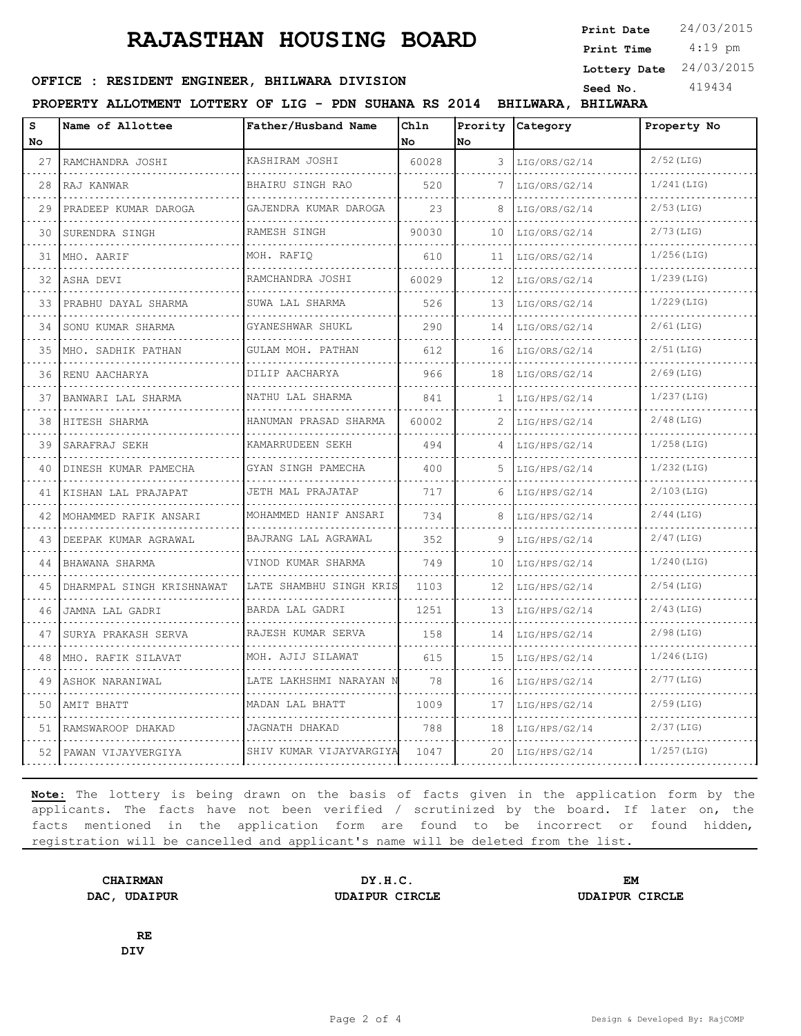4:19 pm **Print Date**  $24/03/2015$ **Print Time Lottery Date** 24/03/2015

## **SEED OFFICE : RESIDENT ENGINEER, BHILWARA DIVISION Seed No.** 419434

**PROPERTY ALLOTMENT LOTTERY OF LIG - PDN SUHANA RS 2014 BHILWARA, BHILWARA**

| s<br>No | Name of Allottee          | Father/Husband Name        | Chln<br>No | No | Prority Category | Property No   |
|---------|---------------------------|----------------------------|------------|----|------------------|---------------|
| 27      | RAMCHANDRA JOSHI          | KASHIRAM JOSHI             | 60028      | 3  | LIG/ORS/G2/14    | $2/52$ (LIG)  |
| 28      | RAJ KANWAR                | BHAIRU SINGH RAO           | 520        | 7  | LIG/ORS/G2/14    | $1/241$ (LIG) |
| 29      | PRADEEP KUMAR DAROGA      | GAJENDRA KUMAR DAROGA      | 23         | 8  | LIG/ORS/G2/14    | $2/53$ (LIG)  |
| 30      | SURENDRA SINGH            | .<br>RAMESH SINGH          | 90030      | 10 | LIG/ORS/G2/14    | $2/73$ (LIG)  |
| 31      | MHO. AARIF                | .<br>MOH. RAFIO            | 610        | 11 | LIG/ORS/G2/14    | $1/256$ (LIG) |
| 32      | ASHA DEVI                 | RAMCHANDRA JOSHI<br>.      | 60029      | 12 | LIG/ORS/G2/14    | $1/239$ (LIG) |
| 33      | PRABHU DAYAL SHARMA       | SUWA LAL SHARMA            | 526        | 13 | LIG/ORS/G2/14    | $1/229$ (LIG) |
| 34      | SONU KUMAR SHARMA         | GYANESHWAR SHUKL           | 290        | 14 | LIG/ORS/G2/14    | $2/61$ (LIG)  |
| 35      | MHO. SADHIK PATHAN        | GULAM MOH. PATHAN<br>.     | 612        | 16 | LIG/ORS/G2/14    | $2/51$ (LIG)  |
| 36      | RENU AACHARYA             | DILIP AACHARYA<br>.        | 966        | 18 | LIG/ORS/G2/14    | $2/69$ (LIG)  |
| 37      | BANWARI LAL SHARMA        | NATHU LAL SHARMA           | 841        | 1  | LIG/HPS/G2/14    | $1/237$ (LIG) |
| 38      | HITESH SHARMA             | HANUMAN PRASAD SHARMA<br>. | 60002      | 2  | LIG/HPS/G2/14    | $2/48$ (LIG)  |
| 39      | SARAFRAJ SEKH             | KAMARRUDEEN SEKH<br>.      | 494        | 4  | LIG/HPS/G2/14    | $1/258$ (LIG) |
| 40      | DINESH KUMAR PAMECHA      | GYAN SINGH PAMECHA         | 400        | 5  | LIG/HPS/G2/14    | $1/232$ (LIG) |
| 41      | KISHAN LAL PRAJAPAT<br>.  | JETH MAL PRAJATAP          | 717        | 6  | LIG/HPS/G2/14    | $2/103$ (LIG) |
| 42      | MOHAMMED RAFIK ANSARI     | MOHAMMED HANIF ANSARI<br>. | 734        | 8  | LIG/HPS/G2/14    | $2/44$ (LIG)  |
| 43      | DEEPAK KUMAR AGRAWAL      | BAJRANG LAL AGRAWAL<br>.   | 352        |    | LIG/HPS/G2/14    | $2/47$ (LIG)  |
| 44      | BHAWANA SHARMA            | VINOD KUMAR SHARMA         | 749        | 10 | LIG/HPS/G2/14    | $1/240$ (LIG) |
| 45      | DHARMPAL SINGH KRISHNAWAT | LATE SHAMBHU SINGH KRIS    | 1103       | 12 | LIG/HPS/G2/14    | $2/54$ (LIG)  |
| 46      | JAMNA LAL GADRI           | BARDA LAL GADRI            | 1251       | 13 | LIG/HPS/G2/14    | $2/43$ (LIG)  |
| 47      | SURYA PRAKASH SERVA       | RAJESH KUMAR SERVA         | 158        | 14 | LIG/HPS/G2/14    | $2/98$ (LIG)  |
| 48      | MHO. RAFIK SILAVAT        | MOH. AJIJ SILAWAT          | 615        | 15 | LIG/HPS/G2/14    | $1/246$ (LIG) |
| 49      | ASHOK NARANIWAL           | LATE LAKHSHMI NARAYAN N    | 78         | 16 | LIG/HPS/G2/14    | $2/77$ (LIG)  |
| 50      | AMIT BHATT                | MADAN LAL BHATT            | 1009       | 17 | LIG/HPS/G2/14    | $2/59$ (LIG)  |
| 51      | RAMSWAROOP DHAKAD         | JAGNATH DHAKAD             | 788        | 18 | LIG/HPS/G2/14    | $2/37$ (LIG)  |
| 52      | PAWAN VIJAYVERGIYA        | SHIV KUMAR VIJAYVARGIYA    | 1047       | 20 | LIG/HPS/G2/14    | $1/257$ (LIG) |

**Note:** The lottery is being drawn on the basis of facts given in the application form by the applicants. The facts have not been verified / scrutinized by the board. If later on, the facts mentioned in the application form are found to be incorrect or found hidden, registration will be cancelled and applicant's name will be deleted from the list.

**CHAIRMAN DY.H.C. EM DAC, UDAIPUR UDAIPUR CIRCLE UDAIPUR CIRCLE**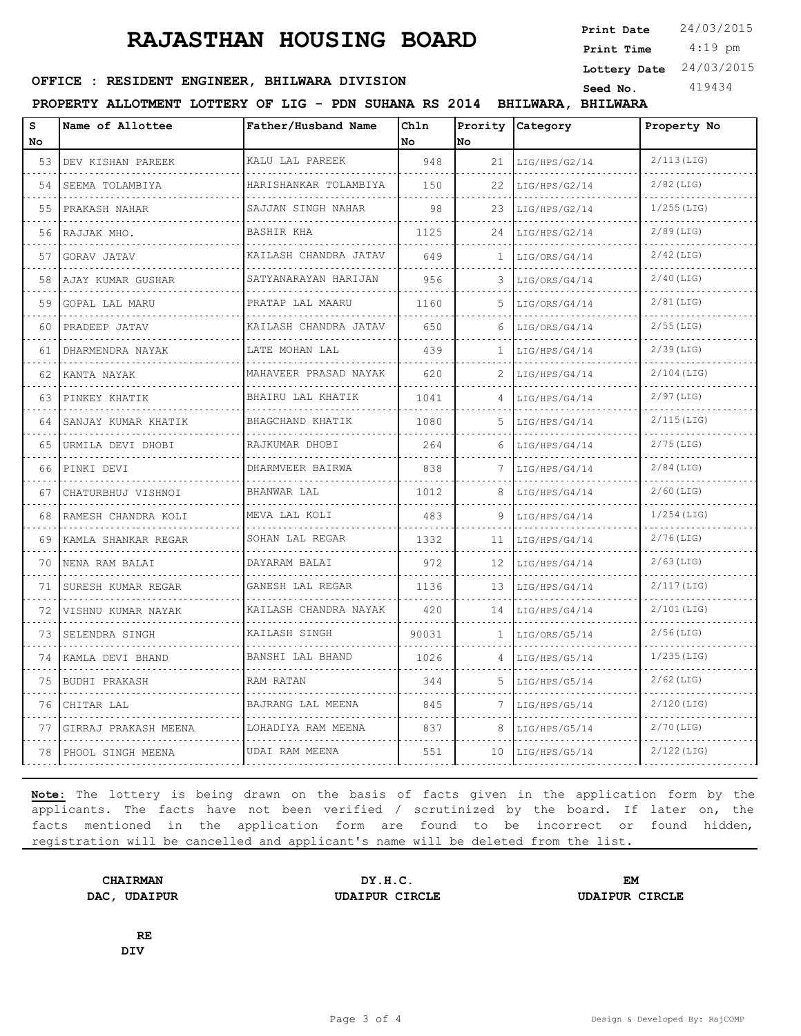4:19 pm **Print Date**  $24/03/2015$ **Print Time Lottery Date** 24/03/2015

### **OFFICE : RESIDENT ENGINEER, BHILWARA DIVISION** Seed No. 419434

**PROPERTY ALLOTMENT LOTTERY OF LIG - PDN SUHANA RS 2014 BHILWARA, BHILWARA**

| S<br>No. | Name of Allottee     | Father/Husband Name        | Chln<br>No. | <b>No</b>    | Prority Category   | Property No   |
|----------|----------------------|----------------------------|-------------|--------------|--------------------|---------------|
| 53       | DEV KISHAN PAREEK    | KALU LAL PAREEK<br>.       | 948         | 21           | LIG/HPS/G2/14<br>. | $2/113$ (LIG) |
| 54       | SEEMA TOLAMBIYA      | HARISHANKAR TOLAMBIYA<br>. | 150         | 22           | LIG/HPS/G2/14      | $2/82$ (LIG)  |
| 55       | PRAKASH NAHAR        | SAJJAN SINGH NAHAR         | 98          | 23           | LIG/HPS/G2/14      | $1/255$ (LIG) |
| 56       | RAJJAK MHO.          | <b>BASHIR KHA</b>          | 1125        | 24           | LIG/HPS/G2/14<br>. | $2/89$ (LIG)  |
| 57       | GORAV JATAV          | KAILASH CHANDRA JATAV<br>. | 649         | $\mathbf{1}$ | LIG/ORS/G4/14      | $2/42$ (LIG)  |
| 58       | AJAY KUMAR GUSHAR    | SATYANARAYAN HARIJAN       | 956         | 3            | LIG/ORS/G4/14      | $2/40$ (LIG)  |
| 59       | GOPAL LAL MARU       | PRATAP LAL MAARU           | 1160        | .5           | LIG/ORS/G4/14      | $2/81$ (LIG)  |
| 60       | PRADEEP JATAV        | KAILASH CHANDRA JATAV<br>. | 650         | 6            | LIG/ORS/G4/14      | $2/55$ (LIG)  |
| 61       | DHARMENDRA NAYAK     | LATE MOHAN LAL             | 439         | 1.           | LIG/HPS/G4/14      | $2/39$ (LIG)  |
| 62       | KANTA NAYAK<br>.     | MAHAVEER PRASAD NAYAK<br>. | 620         | 2            | LIG/HPS/G4/14      | $2/104$ (LIG) |
| 63       | PINKEY KHATIK        | BHAIRU LAL KHATIK<br>.     | 1041        | 4            | LIG/HPS/G4/14      | $2/97$ (LIG)  |
| 64       | SANJAY KUMAR KHATIK  | BHAGCHAND KHATIK           | 1080        | .5           | LIG/HPS/G4/14      | $2/115$ (LIG) |
| 65       | URMILA DEVI DHOBI    | RAJKUMAR DHOBI<br>.        | 264         | 6            | LIG/HPS/G4/14      | $2/75$ (LIG)  |
| 66       | PINKI DEVI<br>.      | DHARMVEER BAIRWA<br>.      | 838         | 7            | LIG/HPS/G4/14<br>. | $2/84$ (LIG)  |
| 67       | CHATURBHUJ VISHNOI   | BHANWAR LAL                | 1012        | 8            | LIG/HPS/G4/14      | $2/60$ (LIG)  |
| 68       | RAMESH CHANDRA KOLI  | MEVA LAL KOLI<br>.         | 483         | 9            | LIG/HPS/G4/14      | $1/254$ (LIG) |
| 69       | KAMLA SHANKAR REGAR  | SOHAN LAL REGAR            | 1332        | 11           | LIG/HPS/G4/14      | $2/76$ (LIG)  |
| 70       | NENA RAM BALAI       | DAYARAM BALAI              | 972         | 12           | LIG/HPS/G4/14      | $2/63$ (LIG)  |
| 71       | SURESH KUMAR REGAR   | GANESH LAL REGAR           | 1136        | 13           | LIG/HPS/G4/14      | $2/117$ (LIG) |
| 72       | VISHNU KUMAR NAYAK   | KAILASH CHANDRA NAYAK<br>. | 420         | 14           | LIG/HPS/G4/14      | $2/101$ (LIG) |
| 73       | SELENDRA SINGH       | KAILASH SINGH              | 90031       | $\mathbf{1}$ | LIG/ORS/G5/14      | $2/56$ (LIG)  |
| 74       | KAMLA DEVI BHAND     | BANSHI LAL BHAND           | 1026        |              | LIG/HPS/G5/14      | $1/235$ (LIG) |
| 75       | BUDHI PRAKASH        | RAM RATAN                  | 344         | 5            | LIG/HPS/G5/14      | $2/62$ (LIG)  |
| 76       | CHITAR LAL           | BAJRANG LAL MEENA          | 845         | 7            | LIG/HPS/G5/14      | $2/120$ (LIG) |
| 77       | GIRRAJ PRAKASH MEENA | LOHADIYA RAM MEENA<br>.    | 837         | 8            | LIG/HPS/G5/14      | $2/70$ (LIG)  |
| 78       | PHOOL SINGH MEENA    | UDAI RAM MEENA             | 551         | 10           | LIG/HPS/G5/14      | $2/122$ (LIG) |

**Note:** The lottery is being drawn on the basis of facts given in the application form by the applicants. The facts have not been verified / scrutinized by the board. If later on, the facts mentioned in the application form are found to be incorrect or found hidden, registration will be cancelled and applicant's name will be deleted from the list.

**CHAIRMAN DY.H.C. EM DAC, UDAIPUR UDAIPUR CIRCLE UDAIPUR CIRCLE**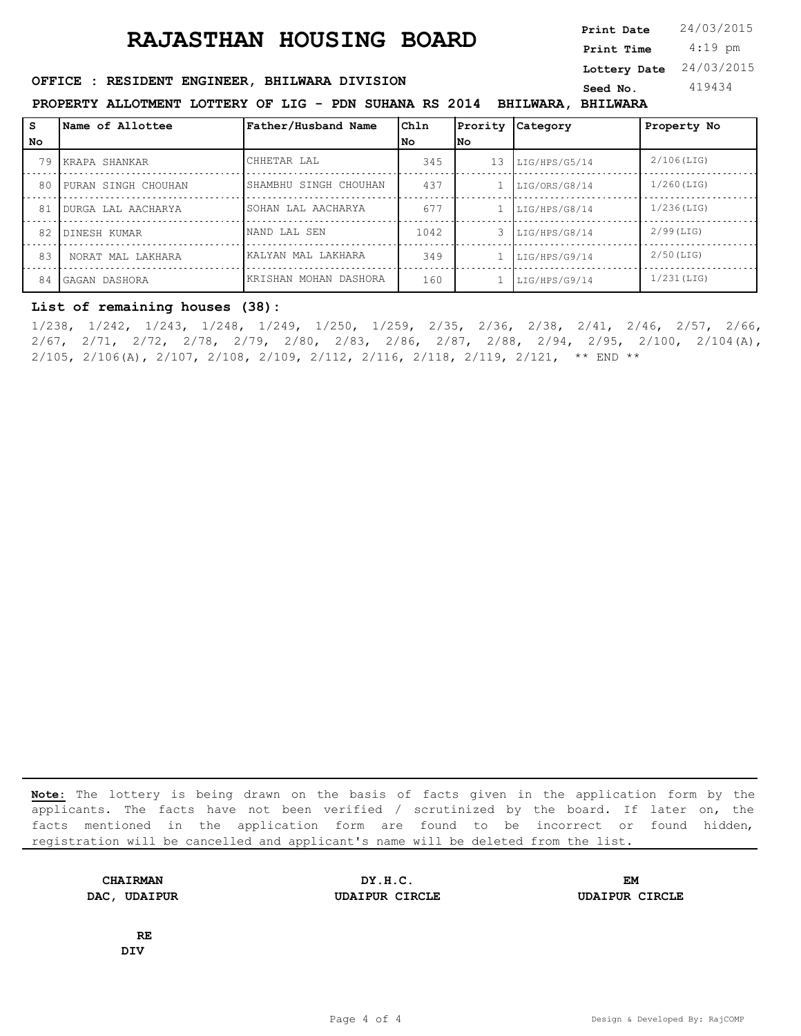4:19 pm **Print Date**  $24/03/2015$ **Print Time Lottery Date** 24/03/2015

### **SEED OFFICE : RESIDENT ENGINEER, BHILWARA DIVISION Seed No.** 419434

**PROPERTY ALLOTMENT LOTTERY OF LIG - PDN SUHANA RS 2014 BHILWARA, BHILWARA**

| l s  | Name of Allottee    | Father/Husband Name   | Chln | Prority | Category                     | Property No   |
|------|---------------------|-----------------------|------|---------|------------------------------|---------------|
| l No |                     |                       | l No | lNo.    |                              |               |
| 79   | KRAPA SHANKAR       | CHHETAR LAL           | 345  | 13      | LIG/HPS/G5/14                | $2/106$ (LIG) |
| 80   | PURAN SINGH CHOUHAN | SHAMBHU SINGH CHOUHAN | 437  |         | LIG/ORS/G8/14                | $1/260$ (LIG) |
| 81   | DURGA LAL AACHARYA  | SOHAN LAL AACHARYA    | 677  |         | LIG/HPS/G8/14                | $1/236$ (LIG) |
| 82   | DINESH KUMAR        | NAND LAL SEN          | 1042 |         | $3 \overline{LIG/HPS/G8/14}$ | $2/99$ (LIG)  |
| 83   | NORAT MAL LAKHARA   | KALYAN MAL LAKHARA    | 349  |         | LIG/HPS/G9/14                | $2/50$ (LIG)  |
| 84   | GAGAN DASHORA       | KRISHAN MOHAN DASHORA | 160  |         | LIG/HPS/G9/14                | $1/231$ (LIG) |

#### **List of remaining houses (38):**

1/238, 1/242, 1/243, 1/248, 1/249, 1/250, 1/259, 2/35, 2/36, 2/38, 2/41, 2/46, 2/57, 2/66, 2/67, 2/71, 2/72, 2/78, 2/79, 2/80, 2/83, 2/86, 2/87, 2/88, 2/94, 2/95, 2/100, 2/104(A), 2/105, 2/106(A), 2/107, 2/108, 2/109, 2/112, 2/116, 2/118, 2/119, 2/121, \*\* END \*\*

**Note:** The lottery is being drawn on the basis of facts given in the application form by the applicants. The facts have not been verified / scrutinized by the board. If later on, the facts mentioned in the application form are found to be incorrect or found hidden, registration will be cancelled and applicant's name will be deleted from the list.

**CHAIRMAN DY.H.C. EM DAC, UDAIPUR UDAIPUR CIRCLE UDAIPUR CIRCLE**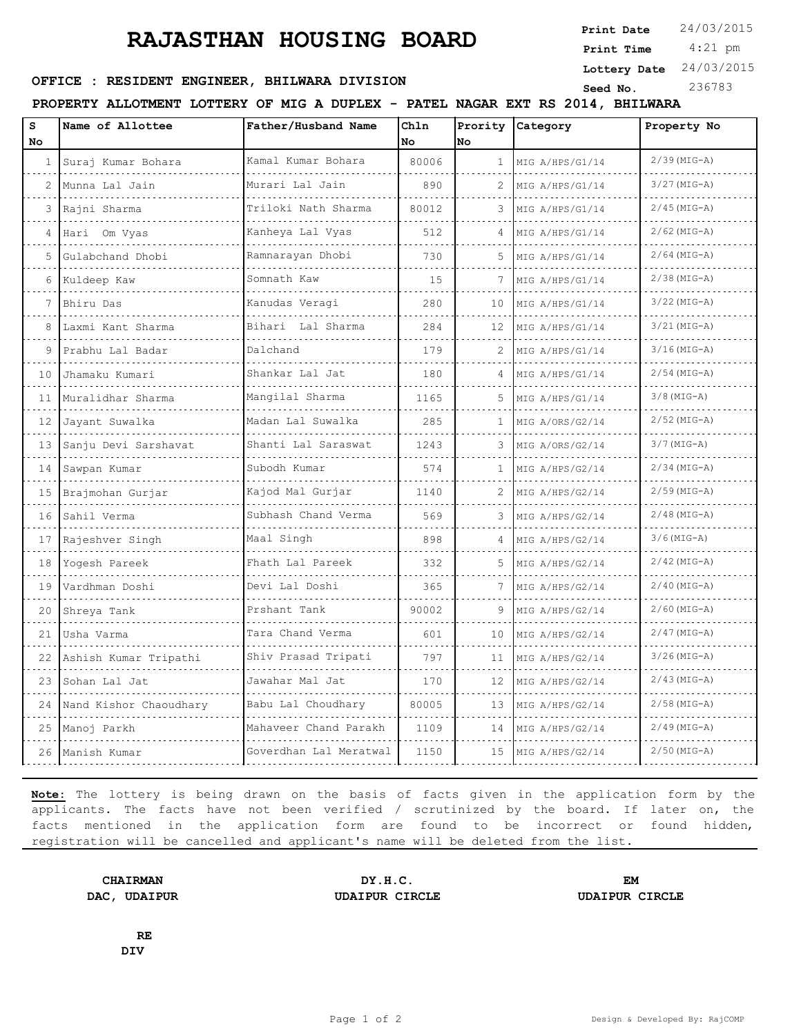**Print Date**  $24/03/2015$ 

 4:21 pm **Print Time**

#### **Lottery Date** 24/03/2015

## **SEED OFFICE : RESIDENT ENGINEER, BHILWARA DIVISION Seed No.** 236783

**PROPERTY ALLOTMENT LOTTERY OF MIG A DUPLEX - PATEL NAGAR EXT RS 2014, BHILWARA**

| S<br>No  | Name of Allottee          | Father/Husband Name    | Chln<br>No | Prority<br>No. | <b>Category</b> | Property No    |
|----------|---------------------------|------------------------|------------|----------------|-----------------|----------------|
| $1 \mid$ | Suraj Kumar Bohara        | Kamal Kumar Bohara     | 80006      | $\mathbf{1}$   | MIG A/HPS/G1/14 | $2/39$ (MIG-A) |
| 2        | Munna Lal Jain            | Murari Lal Jain        | 890        | 2              | MIG A/HPS/G1/14 | $3/27$ (MIG-A) |
|          | Rajni Sharma              | Triloki Nath Sharma    | 80012      |                | MIG A/HPS/G1/14 | $2/45$ (MIG-A) |
| 4        | Hari Om Vyas              | Kanheya Lal Vyas       | 512        | 4              | MIG A/HPS/G1/14 | $2/62$ (MIG-A) |
| 5        | Gulabchand Dhobi          | Ramnarayan Dhobi       | 730        | 5              | MIG A/HPS/G1/14 | $2/64$ (MIG-A) |
| 6        | Kuldeep Kaw               | Somnath Kaw<br>.       | 15         | 7              | MIG A/HPS/G1/14 | $2/38$ (MIG-A) |
| 7        | Bhiru Das                 | Kanudas Veragi         | 280        | 10             | MIG A/HPS/G1/14 | $3/22$ (MIG-A) |
| 8        | Laxmi Kant Sharma         | Bihari - Lal Sharma    | 284        | 12             | MIG A/HPS/G1/14 | $3/21$ (MIG-A) |
| 9        | Prabhu Lal Badar<br>.     | Dalchand               | 179        | 2              | MIG A/HPS/G1/14 | $3/16$ (MIG-A) |
| 10       | Jhamaku Kumari            | Shankar Lal Jat        | 180        | 4              | MIG A/HPS/G1/14 | $2/54$ (MIG-A) |
| 11       | Muralidhar Sharma         | Mangilal Sharma        | 1165       | 5              | MIG A/HPS/G1/14 | $3/8$ (MIG-A)  |
| 12       | Jayant Suwalka            | Madan Lal Suwalka      | 285        | $\mathbf{1}$   | MIG A/ORS/G2/14 | $2/52$ (MIG-A) |
| 13       | Sanju Devi Sarshavat      | Shanti Lal Saraswat    | 1243       | 3              | MIG A/ORS/G2/14 | $3/7$ (MIG-A)  |
| 14       | Sawpan Kumar              | Subodh Kumar           | 574        | $\mathbf{1}$   | MIG A/HPS/G2/14 | $2/34$ (MIG-A) |
| 15       | Brajmohan Gurjar          | Kajod Mal Gurjar       | 1140       | 2              | MIG A/HPS/G2/14 | $2/59$ (MIG-A) |
| 16       | Sahil Verma               | Subhash Chand Verma    | 569        |                | MIG A/HPS/G2/14 | $2/48$ (MIG-A) |
| 17       | Rajeshver Singh           | Maal Singh             | 898        | 4              | MIG A/HPS/G2/14 | $3/6$ (MIG-A)  |
| 18       | Yogesh Pareek             | Fhath Lal Pareek       | 332        | 5              | MIG A/HPS/G2/14 | $2/42$ (MIG-A) |
| 19       | Vardhman Doshi            | Devi Lal Doshi         | 365        | 7              | MIG A/HPS/G2/14 | $2/40$ (MIG-A) |
| 20       | Shreya Tank               | Prshant Tank           | 90002      | 9              | MIG A/HPS/G2/14 | $2/60$ (MIG-A) |
| 21       | Usha Varma                | Tara Chand Verma       | 601        | 10             | MIG A/HPS/G2/14 | $2/47$ (MIG-A) |
| 22       | Ashish Kumar Tripathi     | Shiv Prasad Tripati    | 797        | 11             | MIG A/HPS/G2/14 | $3/26$ (MIG-A) |
| 23       | Sohan Lal Jat             | Jawahar Mal Jat        | 170        | 12             | MIG A/HPS/G2/14 | $2/43$ (MIG-A) |
|          | 24 Nand Kishor Chaoudhary | Babu Lal Choudhary     | 80005      | 13             | MIG A/HPS/G2/14 | $2/58$ (MIG-A) |
| 25       | Manoj Parkh               | Mahaveer Chand Parakh  | 1109       | 14             | MIG A/HPS/G2/14 | $2/49$ (MIG-A) |
|          | 26  Manish Kumar          | Goverdhan Lal Meratwal | 1150       | 15             | MIG A/HPS/G2/14 | $2/50$ (MIG-A) |
|          |                           |                        |            |                |                 |                |

**Note:** The lottery is being drawn on the basis of facts given in the application form by the applicants. The facts have not been verified / scrutinized by the board. If later on, the facts mentioned in the application form are found to be incorrect or found hidden, registration will be cancelled and applicant's name will be deleted from the list.

**CHAIRMAN DY.H.C. EM DAC, UDAIPUR UDAIPUR CIRCLE UDAIPUR CIRCLE**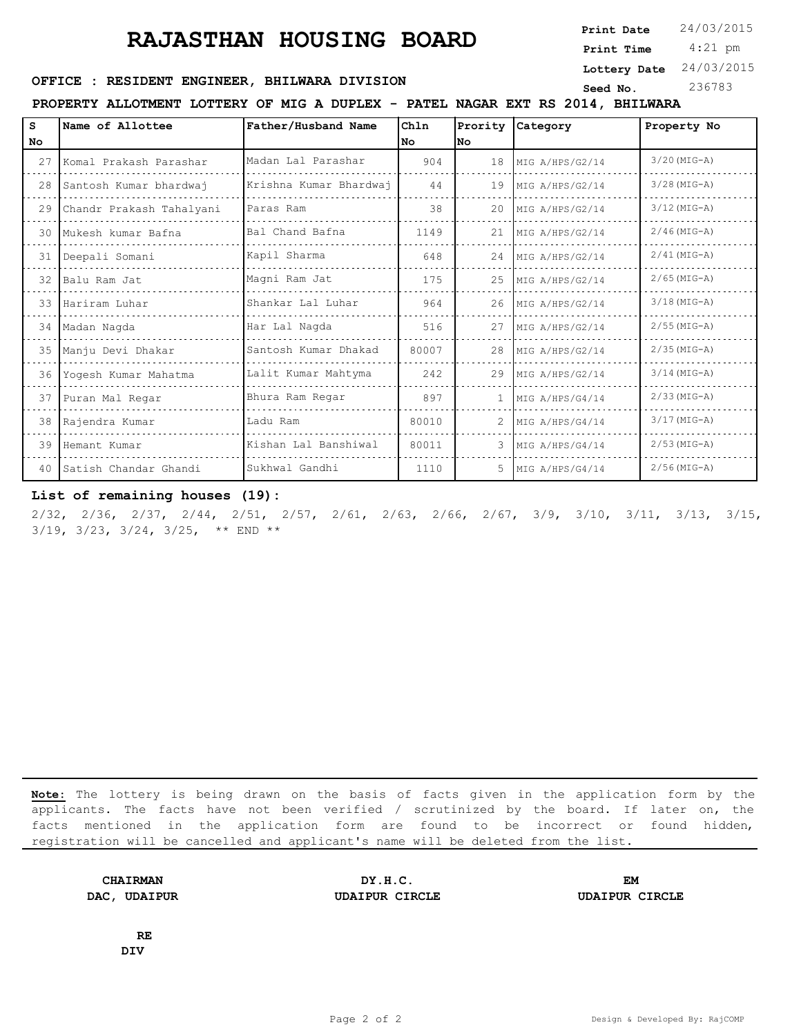**Print Date**  $24/03/2015$ 

 4:21 pm **Print Time**

#### **Lottery Date** 24/03/2015

### **SEED OFFICE : RESIDENT ENGINEER, BHILWARA DIVISION Seed No.** 236783

**PROPERTY ALLOTMENT LOTTERY OF MIG A DUPLEX - PATEL NAGAR EXT RS 2014, BHILWARA**

S **Name of Allottee Chln Name of Allottee Father/Husband Name Prority Category Property No No No No** 27 Komal Prakash Parashar Madan Lal Parashar 904 18 MIG A/HPS/G2/14 3/20(MIG-A)  $\label{eq:2.1} \begin{array}{cccccccccc} \bullet & \bullet & \bullet & \bullet & \bullet \end{array}$ . . . . . . . . . 28 Santosh Kumar bhardwaj Krishna Kumar Bhardwaj 44 19 MIG A/HPS/G2/14 3/28(MIG-A)  $\alpha$  is a second 29 Chandr Prakash Tahalyani Paras Ram 38 20 MIG A/HPS/G2/14 3/12(MIG-A) 30 Mukesh kumar Bafna Bal Chand Bafna 1149 21 MIG A/HPS/G2/14 2/46(MIG-A)  $\sim$   $\sim$   $\sim$ . . . . . . . . . . . . . . . . . . . 31 Deepali Somani Kapil Sharma 1948 24 MIG A/HPS/G2/14 2/41(MIG-A)  $\sim$   $\sim$   $\sim$ . . . . . . . . . . . . . . . . . . . . . . . . . . . . . . . . . . . . . . . . . . . . . . . . . . . 32 Balu Ram Jat Magni Ram Jat 175 25 MIG A/HPS/G2/14 2/65(MIG-A) <u>. . . . . . . . .</u> . . . . . . . . . . . . . . . . . . . . . . . . . . . . .  $\sim$  . . 33 Hariram Luhar Shankar Lal Luhar 964 26 MIG A/HPS/G2/14 3/18(MIG-A) a a a  $\omega$  is a set of  $\omega$ . . . . 34 Madan Nagda Har Lal Nagda 516 27 MIG A/HPS/G2/14 2/55(MIG-A) 35 Manju Devi Dhakar Santosh Kumar Dhakad 80007 28 MIG A/HPS/G2/14 2/35(MIG-A) 36 Yogesh Kumar Mahatma Lalit Kumar Mahtyma 242 29 MIG A/HPS/G2/14 3/14(MIG-A) 37 Puran Mal Regar Bhura Ram Regar 897 1 MIG A/HPS/G4/14 2/33(MIG-A) . . . . . . . . . 38 Rajendra Kumar Ladu Ram 80010 2 MIG A/HPS/G4/14 3/17(MIG-A)  $-1$ . . . . . . . . . . . . . . . . . . . . . . . . . . . . . . . . 39 Hemant Kumar Kishan Lal Banshiwal 80011 3 MIG A/HPS/G4/14 2/53(MIG-A)  $\omega \sim \omega$ . . . . . . . . .  $\omega$  is  $\omega$  in  $\omega$ 40 Satish Chandar Ghandi Sukhwal Gandhi 1110 5 MIG A/HPS/G4/14 2/56(MIG-A)

#### **List of remaining houses (19):**

2/32, 2/36, 2/37, 2/44, 2/51, 2/57, 2/61, 2/63, 2/66, 2/67, 3/9, 3/10, 3/11, 3/13, 3/15, 3/19, 3/23, 3/24, 3/25, \*\* END \*\*

**Note:** The lottery is being drawn on the basis of facts given in the application form by the applicants. The facts have not been verified / scrutinized by the board. If later on, the facts mentioned in the application form are found to be incorrect or found hidden, registration will be cancelled and applicant's name will be deleted from the list.

**CHAIRMAN DY.H.C. EM DAC, UDAIPUR UDAIPUR CIRCLE UDAIPUR CIRCLE**